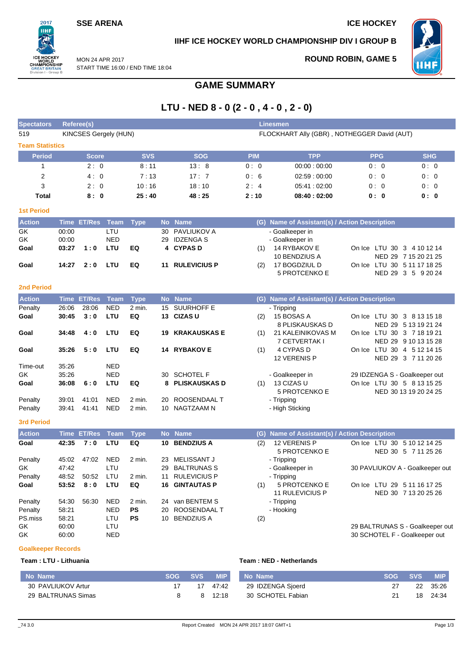### **SSE ARENA ICE HOCKEY**

 $2017$ .<br>ШH

**PEAT** n I - Gro MON 24 APR 2017

### **IIHF ICE HOCKEY WORLD CHAMPIONSHIP DIV I GROUP B**

**ROUND ROBIN, GAME 5**



START TIME 16:00 / END TIME 18:04

# **GAME SUMMARY**

# **LTU - NED 8 - 0 (2 - 0 , 4 - 0 , 2 - 0)**

| <b>Spectators</b>      | Referee(s)<br><b>Linesmen</b> |                    |                          |             |           |                       |            |                                               |                                                                  |                       |
|------------------------|-------------------------------|--------------------|--------------------------|-------------|-----------|-----------------------|------------|-----------------------------------------------|------------------------------------------------------------------|-----------------------|
| 519                    |                               |                    | KINCSES Gergely (HUN)    |             |           |                       |            | FLOCKHART Ally (GBR), NOTHEGGER David (AUT)   |                                                                  |                       |
| <b>Team Statistics</b> |                               |                    |                          |             |           |                       |            |                                               |                                                                  |                       |
| <b>Period</b>          |                               | <b>Score</b>       |                          | <b>SVS</b>  |           | <b>SOG</b>            | <b>PIM</b> | <b>TPP</b>                                    | <b>PPG</b>                                                       | <b>SHG</b>            |
| 1                      |                               | 2:0                |                          | 8:11        |           | 13:8                  | 0:0        | 00:00:00:00                                   | 0:0                                                              | 0:0                   |
| $\overline{2}$         |                               | 4:0                |                          | 7:13        |           | 17:7                  | 0:6        | 02:59:00:00                                   | 0:0                                                              | 0:0                   |
| 3                      |                               | 2:0                |                          | 10:16       |           | 18:10                 | 2:4        | 05:41:02:00                                   | 0:0                                                              | 0:0                   |
| <b>Total</b>           |                               | 8:0                |                          | 25:40       |           | 48:25                 | 2:10       | 08:40:02:00                                   | 0: 0                                                             | 0: 0                  |
| <b>1st Period</b>      |                               |                    |                          |             |           |                       |            |                                               |                                                                  |                       |
| <b>Action</b>          | <b>Time</b>                   | <b>ET/Res</b>      | Team                     | <b>Type</b> | <b>No</b> | <b>Name</b>           |            | (G) Name of Assistant(s) / Action Description |                                                                  |                       |
| GK                     | 00:00                         |                    | LTU                      |             | 30        | PAVLIUKOV A           |            | - Goalkeeper in                               |                                                                  |                       |
| GK                     | 00:00                         |                    | <b>NED</b>               |             | 29        | <b>IDZENGAS</b>       |            | - Goalkeeper in                               |                                                                  |                       |
| Goal                   | 03:27                         | 1:0                | LTU                      | EQ          | 4         | <b>CYPASD</b>         | (1)        | 14 RYBAKOV E<br>10 BENDZIUS A                 | On Ice LTU 30 3 4 10 12 14                                       | NED 29 7 15 20 21 25  |
| Goal                   | 14:27                         | 2:0                | LTU                      | EQ          | 11        | <b>RULEVICIUS P</b>   | (2)        | 17 BOGDZIUL D                                 | On Ice LTU 30 5 11 17 18 25                                      |                       |
|                        |                               |                    |                          |             |           |                       |            | <b>5 PROTCENKO E</b>                          |                                                                  | NED 29 3 5 9 20 24    |
| <b>2nd Period</b>      |                               |                    |                          |             |           |                       |            |                                               |                                                                  |                       |
| <b>Action</b>          |                               | <b>Time ET/Res</b> | Team                     | <b>Type</b> |           | No Name               |            | (G) Name of Assistant(s) / Action Description |                                                                  |                       |
| Penalty                | 26:06                         | 28:06              | <b>NED</b>               | 2 min.      | 15        | <b>SUURHOFF E</b>     |            | - Tripping                                    |                                                                  |                       |
| Goal                   | 30:45                         | 3:0                | LTU                      | EQ          |           | 13 CIZAS U            | (2)        | 15 BOSAS A<br>8 PLISKAUSKAS D                 | On Ice LTU 30 3 8 13 15 18                                       | NED 29 5 13 19 21 24  |
| Goal                   | 34:48                         | 4:0                | LTU                      | EQ          | 19        | <b>KRAKAUSKAS E</b>   | (1)        | 21 KALEINIKOVAS M<br>7 CETVERTAK I            | On Ice LTU 30 3 7 18 19 21                                       | NED 29 9 10 13 15 28  |
| Goal                   | 35:26                         | 5:0                | LTU                      | EQ          |           | 14 RYBAKOV E          | (1)        | 4 CYPAS D                                     | On Ice LTU 30 4 5 12 14 15                                       |                       |
|                        |                               |                    |                          |             |           |                       |            | 12 VERENIS P                                  |                                                                  | NED 29 3 7 11 20 26   |
| Time-out<br>GK         | 35:26<br>35:26                |                    | <b>NED</b><br><b>NED</b> |             | 30        | <b>SCHOTEL F</b>      |            | - Goalkeeper in                               | 29 IDZENGA S - Goalkeeper out                                    |                       |
| Goal                   | 36:08                         | 6:0                | LTU                      | EQ          | 8         | <b>PLISKAUSKAS D</b>  | (1)        | 13 CIZAS U                                    | On Ice LTU 30 5 8 13 15 25                                       |                       |
|                        |                               |                    |                          |             |           |                       |            | 5 PROTCENKO E                                 |                                                                  | NED 30 13 19 20 24 25 |
| Penalty                | 39:01                         | 41:01              | <b>NED</b>               | 2 min.      | 20        | ROOSENDAAL T          |            | - Tripping                                    |                                                                  |                       |
| Penalty                | 39:41                         | 41:41              | <b>NED</b>               | 2 min.      | 10        | NAGTZAAM N            |            | - High Sticking                               |                                                                  |                       |
| <b>3rd Period</b>      |                               |                    |                          |             |           |                       |            |                                               |                                                                  |                       |
| <b>Action</b>          |                               | Time ET/Res        | <b>Team</b>              | <b>Type</b> |           | No Name               | (G)        | Name of Assistant(s) / Action Description     |                                                                  |                       |
| Goal                   | 42:35                         | 7:0                | LTU                      | EQ          | 10        | <b>BENDZIUS A</b>     | (2)        | 12 VERENIS P                                  | On Ice LTU 30 5 10 12 14 25                                      |                       |
| Penalty                | 45:02                         | 47:02              | <b>NED</b>               | 2 min.      | 23        | <b>MELISSANT J</b>    |            | <b>5 PROTCENKO E</b><br>- Tripping            |                                                                  | NED 30 5 7 11 25 26   |
| GK                     | 47:42                         |                    | LTU                      |             | 29        | <b>BALTRUNAS S</b>    |            | - Goalkeeper in                               | 30 PAVLIUKOV A - Goalkeeper out                                  |                       |
| Penalty                | 48:52                         | 50:52 LTU          |                          | 2 min.      |           | 11 RULEVICIUS P       |            | - Tripping                                    |                                                                  |                       |
| Goal                   | 53:52                         | 8:0                | LTU                      | EQ          |           | <b>16 GINTAUTAS P</b> | (1)        | 5 PROTCENKO E<br>11 RULEVICIUS P              | On Ice LTU 29 5 11 16 17 25                                      | NED 30 7 13 20 25 26  |
| Penalty                | 54:30                         | 56:30              | <b>NED</b>               | 2 min.      |           | 24 van BENTEM S       |            | - Tripping                                    |                                                                  |                       |
| Penalty                | 58:21                         |                    | <b>NED</b>               | <b>PS</b>   | 20        | ROOSENDAAL T          |            | - Hooking                                     |                                                                  |                       |
| PS.miss                | 58:21                         |                    | LTU                      | <b>PS</b>   |           | 10 BENDZIUS A         | (2)        |                                               |                                                                  |                       |
| GK<br>GK               | 60:00<br>60:00                |                    | LTU<br><b>NED</b>        |             |           |                       |            |                                               | 29 BALTRUNAS S - Goalkeeper out<br>30 SCHOTEL F - Goalkeeper out |                       |
|                        |                               |                    |                          |             |           |                       |            |                                               |                                                                  |                       |

#### **Goalkeeper Records**

#### **Team : LTU - Lithuania Team : NED - Netherlands**

| No Name            | SOG : | <b>SVS</b> | <b>MIP</b> | No Name           | SOG. | <b>SVS</b> | <b>MIP</b> |
|--------------------|-------|------------|------------|-------------------|------|------------|------------|
| 30 PAVLIUKOV Artur |       | 17         | 47:42      | 29 IDZENGA Sjoerd |      | 22         | 35:26      |
| 29 BALTRUNAS Simas |       | 8          | 12:18      | 30 SCHOTEL Fabian |      | 18         | 24:34      |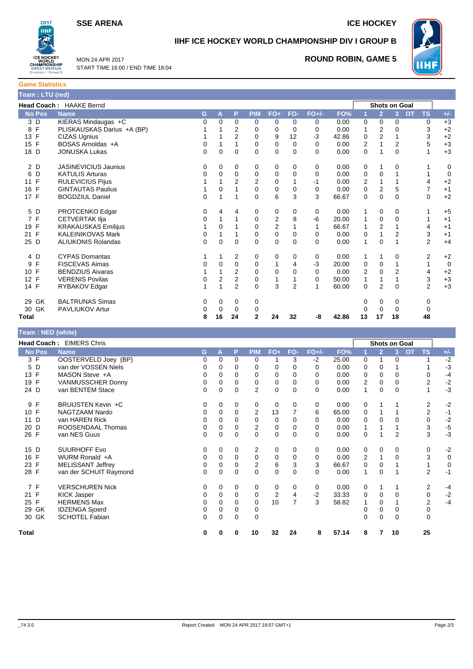**SSE ARENA ICE HOCKEY** 



**IIHF ICE HOCKEY WORLD CHAMPIONSHIP DIV I GROUP B**



MON 24 APR 2017 START TIME 16:00 / END TIME 18:04

# **ROUND ROBIN, GAME 5**

| <b>Game Statistics</b> |                                |
|------------------------|--------------------------------|
| Team : LTU (red)       |                                |
|                        | <b>Head Coach: HAAKE Bernd</b> |
| No Pos Name            |                                |
| 3 D                    | KIERAS Mindaugas +C            |
| ⊐ פ                    | DI ICKALICKAC Darius +A (RD)   |

| Head Coach: HAAKE Bernd |                             |   |    |                |                |                |                |          |       |             | <b>Shots on Goal</b> |                |                        |             |
|-------------------------|-----------------------------|---|----|----------------|----------------|----------------|----------------|----------|-------|-------------|----------------------|----------------|------------------------|-------------|
| <b>No Pos</b>           | <b>Name</b>                 | G | A  | P              | <b>PIM</b>     | $FO+$          | FO-            | $FO+/-$  | FO%   |             | $\overline{2}$       | 3              | <b>OT</b><br><b>TS</b> | $+/-$       |
| 3 D                     | KIERAS Mindaugas +C         | 0 | 0  | 0              | 0              | 0              | $\Omega$       | 0        | 0.00  | 0           | 0                    | $\Omega$       | 0                      | $+3$        |
| F<br>8                  | PLISKAUSKAS Darius +A (BP)  |   |    | $\overline{2}$ | 0              | 0              | $\Omega$       | 0        | 0.00  |             | 2                    | 0              | 3                      | $+2$        |
| 13 F                    | <b>CIZAS Ugnius</b>         |   |    | $\overline{2}$ | $\Omega$       | 9              | 12             | $-3$     | 42.86 | 0           | 2                    |                | 3                      | $+2$        |
| F<br>15                 | BOSAS Arnoldas +A           | 0 |    |                | 0              | 0              | $\Omega$       | 0        | 0.00  | 2           |                      | 2              | 5                      | $+3$        |
| 18 D                    | <b>JONUSKA Lukas</b>        | 0 | 0  | $\Omega$       | $\Omega$       | $\Omega$       | $\Omega$       | $\Omega$ | 0.00  | $\Omega$    | 1                    | $\Omega$       | $\mathbf{1}$           | $+3$        |
| 2 D                     | <b>JASINEVICIUS Jaunius</b> | 0 | 0  | 0              | 0              | 0              | $\Omega$       | 0        | 0.00  | 0           |                      | 0              |                        | 0           |
| D<br>6                  | <b>KATULIS Arturas</b>      | 0 | 0  | 0              | 0              | 0              | $\Omega$       | 0        | 0.00  | 0           | 0                    |                | 1                      | $\mathbf 0$ |
| 11 F                    | <b>RULEVICIUS Pijus</b>     |   |    | 2              | $\overline{2}$ | 0              |                | $-1$     | 0.00  | 2           | 1                    |                | 4                      | $+2$        |
| $\mathsf{F}$<br>16      | <b>GINTAUTAS Paulius</b>    |   | 0  |                | 0              | $\mathbf 0$    | $\Omega$       | 0        | 0.00  | $\mathbf 0$ | $\overline{2}$       | 5              | $\overline{7}$         | $+1$        |
| 17 F                    | <b>BOGDZIUL Daniel</b>      | 0 | 1  | 1              | $\Omega$       | 6              | 3              | 3        | 66.67 | $\Omega$    | $\Omega$             | $\Omega$       | $\Omega$               | $+2$        |
| 5 D                     | PROTCENKO Edgar             | 0 | 4  | 4              | 0              | 0              | 0              | 0        | 0.00  |             | 0                    | $\Omega$       |                        | $+5$        |
| 7 F                     | <b>CETVERTAK IIja</b>       | 0 | 1  |                | 0              | $\overline{2}$ | 8              | -6       | 20.00 |             | 0                    | $\Omega$       |                        | $+1$        |
| 19 F                    | <b>KRAKAUSKAS Emilijus</b>  |   | 0  |                | 0              | $\overline{c}$ |                |          | 66.67 |             | 2                    |                | 4                      | $+1$        |
| 21 F                    | <b>KALEINIKOVAS Mark</b>    | 0 |    |                | 0              | $\mathbf 0$    | $\Omega$       | 0        | 0.00  | 0           |                      | $\overline{2}$ | 3                      | $+1$        |
| 25 D                    | <b>ALIUKONIS Rolandas</b>   | 0 | 0  | $\Omega$       | 0              | $\mathbf 0$    | $\Omega$       | $\Omega$ | 0.00  |             | 0                    |                | $\overline{2}$         | $+4$        |
| 4 D                     | <b>CYPAS Domantas</b>       |   | 1  | 2              | 0              | 0              | $\Omega$       | 0        | 0.00  |             | 1                    | $\Omega$       | 2                      | $+2$        |
| F<br>9                  | <b>FISCEVAS Aimas</b>       | 0 | 0  | 0              | 0              | 1              | 4              | $-3$     | 20.00 | 0           | 0                    |                | 1                      | 0           |
| F<br>10 <sup>1</sup>    | <b>BENDZIUS Aivaras</b>     |   |    | 2              | 0              | 0              | $\Omega$       | $\Omega$ | 0.00  | 2           | 0                    | $\overline{2}$ | $\overline{4}$         | $+2$        |
| F<br>12                 | <b>VERENIS Povilas</b>      | 0 | 2  | $\overline{2}$ | 0              |                |                | $\Omega$ | 50.00 |             | 1                    |                | 3                      | $+3$        |
| 14 F                    | RYBAKOV Edgar               |   | 1  | $\overline{2}$ | $\Omega$       | 3              | $\overline{2}$ | 1        | 60.00 | $\Omega$    | $\overline{2}$       | $\Omega$       | $\overline{2}$         | $+3$        |
| GK<br>29                | <b>BALTRUNAS Simas</b>      | 0 | 0  | 0              | 0              |                |                |          |       | 0           | 0                    | 0              | 0                      |             |
| 30 GK                   | PAVLIUKOV Artur             | 0 | 0  | $\Omega$       | 0              |                |                |          |       |             | $\Omega$             | $\Omega$       | 0                      |             |
| Total                   |                             | 8 | 16 | 24             | $\mathbf{2}$   | 24             | 32             | -8       | 42.86 | 13          | 17                   | 18             | 48                     |             |

| <b>Feam:NED (white)</b> |                          |    |             |             |                |                |              |         |       |                |                |                |           |                |             |
|-------------------------|--------------------------|----|-------------|-------------|----------------|----------------|--------------|---------|-------|----------------|----------------|----------------|-----------|----------------|-------------|
|                         | Head Coach: EIMERS Chris |    |             |             |                |                |              |         |       |                |                | Shots on Goal  |           |                |             |
| <b>No Pos</b>           | <b>Name</b>              | G. | Α           | P           | <b>PIM</b>     | $FO+$          | FO-          | $FO+/-$ | FO%   |                | $\overline{2}$ | $\mathbf{3}$   | <b>OT</b> | <b>TS</b>      | $+/-$       |
| 3 F                     | OOSTERVELD Joey (BP)     | 0  | $\Omega$    | 0           | 0              |                | 3            | $-2$    | 25.00 | 0              | 1              | $\Omega$       |           |                | $-2$        |
| 5 D                     | van der VOSSEN Niels     | 0  | 0           | 0           | $\Omega$       | 0              | 0            | 0       | 0.00  | 0              | 0              |                |           |                | $-3$        |
| 13 F                    | MASON Steve +A           | 0  | $\Omega$    | $\Omega$    | $\Omega$       | $\Omega$       | $\Omega$     | 0       | 0.00  | $\Omega$       | $\mathbf{0}$   | $\Omega$       |           | $\Omega$       | $-4$        |
| F<br>19                 | <b>VANMUSSCHER Donny</b> | 0  | $\Omega$    | $\Omega$    | 0              | 0              | $\Omega$     | 0       | 0.00  | 2              | 0              | 0              |           | $\overline{2}$ | $-2$        |
| 24 D                    | van BENTEM Stace         | 0  | 0           | 0           | $\overline{2}$ | $\mathbf 0$    | $\Omega$     | 0       | 0.00  |                | 0              | 0              |           |                | $-3$        |
| 9 F                     | BRUIJSTEN Kevin +C       | 0  | 0           | 0           | 0              | 0              | 0            | 0       | 0.00  | 0              | 1              |                |           | $\overline{2}$ | $-2$        |
| 10 F                    | NAGTZAAM Nardo           | 0  | 0           | $\Omega$    | $\overline{2}$ | 13             |              | 6       | 65.00 | 0              | 1              |                |           | $\overline{2}$ | $-1$        |
| D<br>11                 | van HAREN Rick           | 0  | 0           | 0           | $\mathbf 0$    | $\mathbf 0$    | <sup>0</sup> | 0       | 0.00  | 0              | $\Omega$       |                |           | $\mathbf 0$    | $-2$        |
| 20 D                    | ROOSENDAAL Thomas        | 0  | 0           | $\Omega$    | 2              | 0              | 0            | 0       | 0.00  |                | 1              |                |           | 3              | $-5$        |
| 26 F                    | van NES Guus             | 0  | 0           | $\mathbf 0$ | $\mathbf 0$    | $\mathbf 0$    | $\Omega$     | 0       | 0.00  | 0              |                | $\overline{2}$ |           | 3              | $-3$        |
| 15 D                    | <b>SUURHOFF Evo</b>      | 0  | 0           | $\mathbf 0$ | 2              | $\mathbf 0$    | 0            | 0       | 0.00  | 0              | 0              | 0              |           | 0              | $-2$        |
| 16 F                    | WURM Ronald +A           | 0  | $\Omega$    | $\Omega$    | $\mathbf 0$    | $\mathbf 0$    | $\Omega$     | 0       | 0.00  | $\overline{2}$ | $\mathbf{1}$   | $\Omega$       |           | 3              | $\mathbf 0$ |
| 23 F                    | <b>MELISSANT Jeffrey</b> | 0  | 0           | 0           | 2              | 6              | 3            | 3       | 66.67 | 0              | 0              |                |           | 1              | 0           |
| 28 F                    | van der SCHUIT Raymond   | 0  | $\mathbf 0$ | $\mathbf 0$ | $\mathbf 0$    | $\mathbf 0$    | $\Omega$     | 0       | 0.00  |                | 0              |                |           | $\overline{2}$ | $-1$        |
| 7 F                     | <b>VERSCHUREN Nick</b>   | 0  | 0           | 0           | 0              | 0              | 0            | 0       | 0.00  | 0              | 1              |                |           | 2              | $-4$        |
| F<br>21                 | <b>KICK Jasper</b>       | 0  | 0           | $\Omega$    | $\mathbf 0$    | $\overline{c}$ | 4            | $-2$    | 33.33 | 0              | $\mathbf 0$    | $\Omega$       |           | $\mathsf 0$    | $-2$        |
| 25 F                    | <b>HERMENS Max</b>       | 0  | 0           | $\Omega$    | $\Omega$       | 10             | 7            | 3       | 58.82 |                | 0              |                |           | $\overline{2}$ | $-4$        |
| 29 GK                   | <b>IDZENGA Sjoerd</b>    | 0  | $\Omega$    | $\Omega$    | 0              |                |              |         |       | 0              | $\Omega$       | 0              |           | 0              |             |
| 30 GK                   | <b>SCHOTEL Fabian</b>    | 0  | 0           | 0           | $\mathbf 0$    |                |              |         |       | 0              | 0              | $\Omega$       |           | 0              |             |
| <b>Total</b>            |                          | 0  | 0           | 0           | 10             | 32             | 24           | 8       | 57.14 | 8              | 7              | 10             |           | 25             |             |